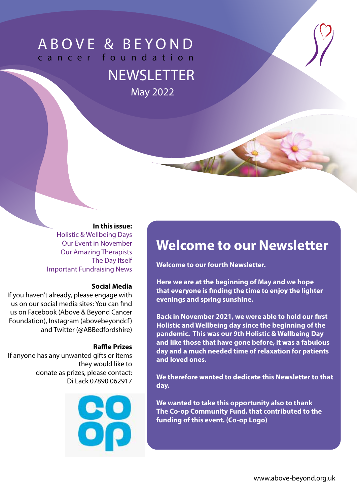# ABOVE & BEYOND cancer foundation

**NEWSLETTER** May 2022

#### **In this issue:**

Holistic & Wellbeing Days Our Event in November Our Amazing Therapists The Day Itself Important Fundraising News

#### **Social Media**

If you haven't already, please engage with us on our social media sites: You can find us on Facebook (Above & Beyond Cancer Foundation), Instagram (abovebeyondcf) and Twitter (@ABBedfordshire)

#### **Raffle Prizes**

If anyone has any unwanted gifts or items they would like to donate as prizes, please contact: Di Lack 07890 062917



## **Welcome to our Newsletter**

**Welcome to our fourth Newsletter.** 

**Here we are at the beginning of May and we hope that everyone is finding the time to enjoy the lighter evenings and spring sunshine.** 

**Back in November 2021, we were able to hold our first Holistic and Wellbeing day since the beginning of the pandemic. This was our 9th Holistic & Wellbeing Day and like those that have gone before, it was a fabulous day and a much needed time of relaxation for patients and loved ones.**

**We therefore wanted to dedicate this Newsletter to that day.**

**We wanted to take this opportunity also to thank The Co-op Community Fund, that contributed to the funding of this event. (Co-op Logo)**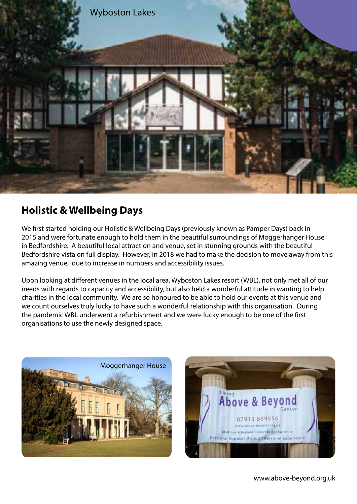

### **Holistic & Wellbeing Days**

We first started holding our Holistic & Wellbeing Days (previously known as Pamper Days) back in 2015 and were fortunate enough to hold them in the beautiful surroundings of Moggerhanger House in Bedfordshire. A beautiful local attraction and venue, set in stunning grounds with the beautiful Bedfordshire vista on full display. However, in 2018 we had to make the decision to move away from this amazing venue, due to increase in numbers and accessibility issues.

Upon looking at different venues in the local area, Wyboston Lakes resort (WBL), not only met all of our needs with regards to capacity and accessibility, but also held a wonderful attitude in wanting to help charities in the local community. We are so honoured to be able to hold our events at this venue and we count ourselves truly lucky to have such a wonderful relationship with this organisation. During the pandemic WBL underwent a refurbishment and we were lucky enough to be one of the first organisations to use the newly designed space.



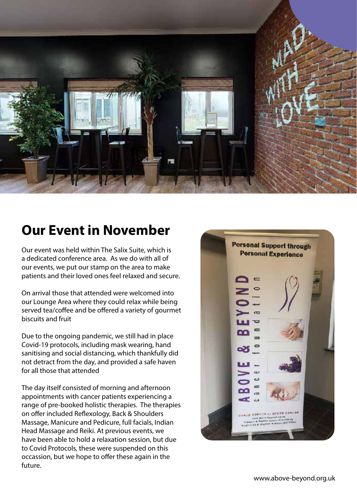

## **Our Event in November**

Our event was held within The Salix Suite, which is a dedicated conference area. As we do with all of our events, we put our stamp on the area to make patients and their loved ones feel relaxed and secure.

On arrival those that attended were welcomed into our Lounge Area where they could relax while being served tea/coffee and be offered a variety of gourmet biscuits and fruit

Due to the ongoing pandemic, we still had in place Covid-19 protocols, including mask wearing, hand sanitising and social distancing, which thankfully did not detract from the day, and provided a safe haven for all those that attended

The day itself consisted of morning and afternoon appointments with cancer patients experiencing a range of pre-booked holistic therapies. The therapies on offer included Reflexology, Back & Shoulders Massage, Manicure and Pedicure, full facials, Indian Head Massage and Reiki. At previous events, we have been able to hold a relaxation session, but due to Covid Protocols, these were suspended on this occassion, but we hope to offer these again in the future.

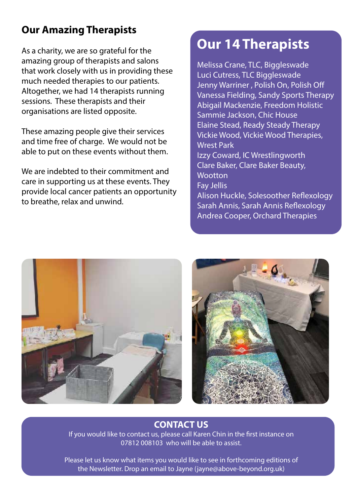# **FUNDING RECOG-Our Amazing Therapists**

As a charity, we are so grateful for the amazing group of therapists and salons that work closely with us in providing these much needed therapies to our patients. Altogether, we had 14 therapists running sessions. These therapists and their organisations are listed opposite.

These amazing people give their services and time free of charge. We would not be able to put on these events without them.

We are indebted to their commitment and care in supporting us at these events. They provide local cancer patients an opportunity to breathe, relax and unwind.

## **Our 14 Therapists**

Melissa Crane, TLC, Biggleswade Luci Cutress, TLC Biggleswade Jenny Warriner , Polish On, Polish Off Vanessa Fielding, Sandy Sports Therapy Abigail Mackenzie, Freedom Holistic Sammie Jackson, Chic House Elaine Stead, Ready Steady Therapy Vickie Wood, Vickie Wood Therapies, Wrest Park Izzy Coward, IC Wrestlingworth Clare Baker, Clare Baker Beauty, **Wootton** Fay Jellis Alison Huckle, Solesoother Reflexology Sarah Annis, Sarah Annis Reflexology





Andrea Cooper, Orchard Therapies

### **CONTACT US**

If you would like to contact us, please call Karen Chin in the first instance on 07812 008103 who will be able to assist.

Please let us know what items you would like to see in forthcoming editions of the Newsletter. Drop an email to Jayne (jayne@above-beyond.org.uk)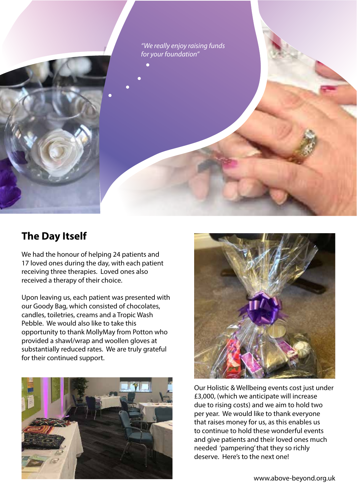*"We really enjoy raising funds for your foundation"*

### **The Day Itself**

We had the honour of helping 24 patients and 17 loved ones during the day, with each patient receiving three therapies. Loved ones also received a therapy of their choice.

Upon leaving us, each patient was presented with our Goody Bag, which consisted of chocolates, candles, toiletries, creams and a Tropic Wash Pebble. We would also like to take this opportunity to thank MollyMay from Potton who provided a shawl/wrap and woollen gloves at substantially reduced rates. We are truly grateful for their continued support.





Our Holistic & Wellbeing events cost just under £3,000, (which we anticipate will increase due to rising costs) and we aim to hold two per year. We would like to thank everyone that raises money for us, as this enables us to continue to hold these wonderful events and give patients and their loved ones much needed 'pampering' that they so richly deserve. Here's to the next one!